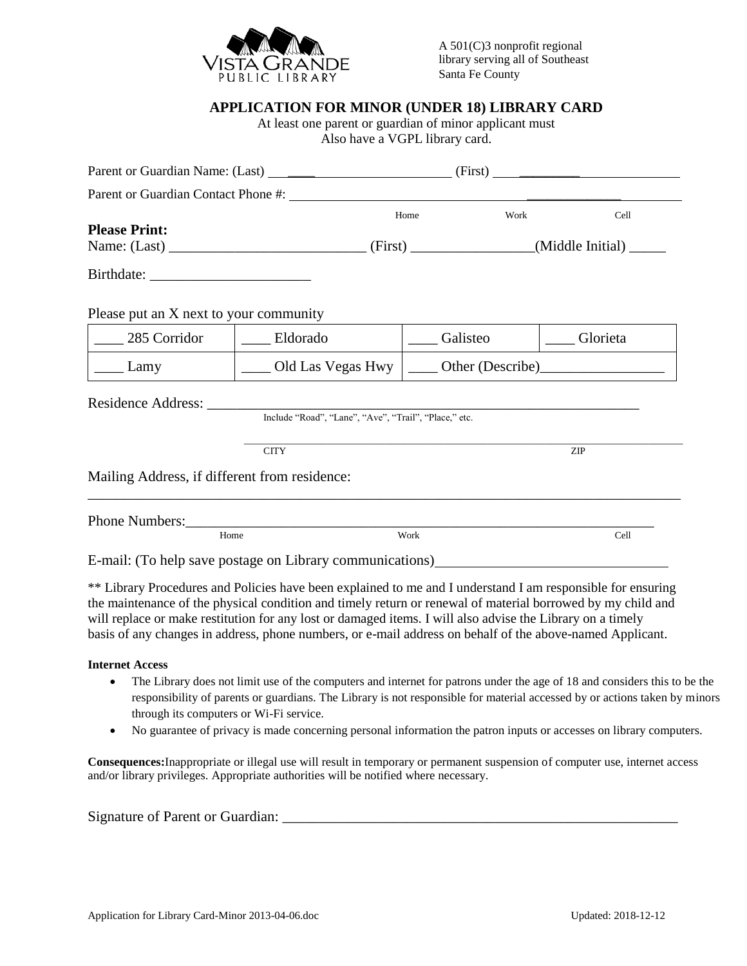

## **APPLICATION FOR MINOR (UNDER 18) LIBRARY CARD**

At least one parent or guardian of minor applicant must Also have a VGPL library card.

|                                               |                                                                                                                                                                                                                                                                                                                                                                                                                                                       | (First)  | <u> 1989 - Johann Barbara, martxa alemaniar populari (</u> |  |
|-----------------------------------------------|-------------------------------------------------------------------------------------------------------------------------------------------------------------------------------------------------------------------------------------------------------------------------------------------------------------------------------------------------------------------------------------------------------------------------------------------------------|----------|------------------------------------------------------------|--|
|                                               | Parent or Guardian Contact Phone #:                                                                                                                                                                                                                                                                                                                                                                                                                   |          |                                                            |  |
| <b>Please Print:</b>                          |                                                                                                                                                                                                                                                                                                                                                                                                                                                       | Home     | Work<br>Cell                                               |  |
|                                               |                                                                                                                                                                                                                                                                                                                                                                                                                                                       |          |                                                            |  |
|                                               |                                                                                                                                                                                                                                                                                                                                                                                                                                                       |          |                                                            |  |
| Please put an X next to your community        |                                                                                                                                                                                                                                                                                                                                                                                                                                                       |          |                                                            |  |
| 285 Corridor                                  | ___ Eldorado                                                                                                                                                                                                                                                                                                                                                                                                                                          | Galisteo | ____ Glorieta                                              |  |
| Lamy                                          | $\_\_$ Old Las Vegas Hwy                                                                                                                                                                                                                                                                                                                                                                                                                              |          |                                                            |  |
| Residence Address:                            | Include "Road", "Lane", "Ave", "Trail", "Place," etc.<br><b>CITY</b>                                                                                                                                                                                                                                                                                                                                                                                  |          | ZIP                                                        |  |
| Mailing Address, if different from residence: |                                                                                                                                                                                                                                                                                                                                                                                                                                                       |          |                                                            |  |
|                                               |                                                                                                                                                                                                                                                                                                                                                                                                                                                       |          |                                                            |  |
| Home                                          |                                                                                                                                                                                                                                                                                                                                                                                                                                                       | Work     | Cell                                                       |  |
|                                               | E-mail: (To help save postage on Library communications)                                                                                                                                                                                                                                                                                                                                                                                              |          |                                                            |  |
|                                               | ** Library Procedures and Policies have been explained to me and I understand I am responsible for ensuring<br>the maintenance of the physical condition and timely return or renewal of material borrowed by my child and<br>will replace or make restitution for any lost or damaged items. I will also advise the Library on a timely<br>basis of any changes in address, phone numbers, or e-mail address on behalf of the above-named Applicant. |          |                                                            |  |

## **Internet Access**

- The Library does not limit use of the computers and internet for patrons under the age of 18 and considers this to be the responsibility of parents or guardians. The Library is not responsible for material accessed by or actions taken by minors through its computers or Wi-Fi service.
- No guarantee of privacy is made concerning personal information the patron inputs or accesses on library computers.

**Consequences:**Inappropriate or illegal use will result in temporary or permanent suspension of computer use, internet access and/or library privileges. Appropriate authorities will be notified where necessary.

Signature of Parent or Guardian: \_\_\_\_\_\_\_\_\_\_\_\_\_\_\_\_\_\_\_\_\_\_\_\_\_\_\_\_\_\_\_\_\_\_\_\_\_\_\_\_\_\_\_\_\_\_\_\_\_\_\_\_\_\_